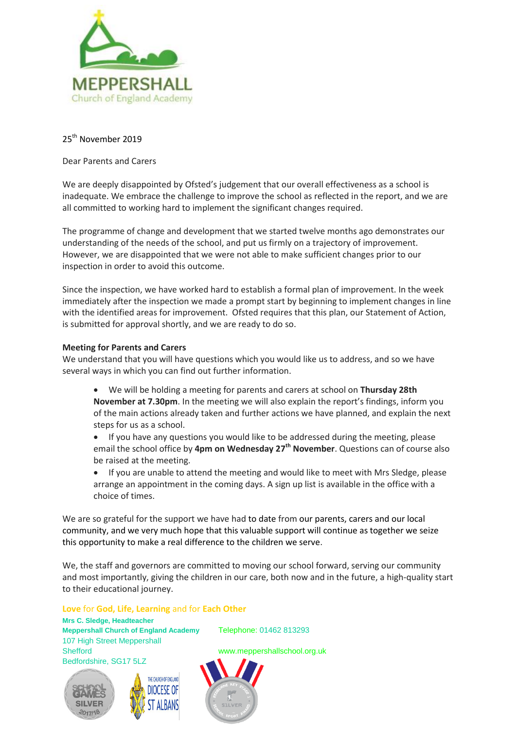

## 25<sup>th</sup> November 2019

## Dear Parents and Carers

We are deeply disappointed by Ofsted's judgement that our overall effectiveness as a school is inadequate. We embrace the challenge to improve the school as reflected in the report, and we are all committed to working hard to implement the significant changes required.

The programme of change and development that we started twelve months ago demonstrates our understanding of the needs of the school, and put us firmly on a trajectory of improvement. However, we are disappointed that we were not able to make sufficient changes prior to our inspection in order to avoid this outcome.

Since the inspection, we have worked hard to establish a formal plan of improvement. In the week immediately after the inspection we made a prompt start by beginning to implement changes in line with the identified areas for improvement. Ofsted requires that this plan, our Statement of Action, is submitted for approval shortly, and we are ready to do so.

## **Meeting for Parents and Carers**

We understand that you will have questions which you would like us to address, and so we have several ways in which you can find out further information.

- We will be holding a meeting for parents and carers at school on **Thursday 28th November at 7.30pm**. In the meeting we will also explain the report's findings, inform you of the main actions already taken and further actions we have planned, and explain the next steps for us as a school.
- If you have any questions you would like to be addressed during the meeting, please email the school office by **4pm on Wednesday 27th November**. Questions can of course also be raised at the meeting.
- If you are unable to attend the meeting and would like to meet with Mrs Sledge, please arrange an appointment in the coming days. A sign up list is available in the office with a choice of times.

We are so grateful for the support we have had to date from our parents, carers and our local community, and we very much hope that this valuable support will continue as together we seize this opportunity to make a real difference to the children we serve.

We, the staff and governors are committed to moving our school forward, serving our community and most importantly, giving the children in our care, both now and in the future, a high-quality start to their educational journey.